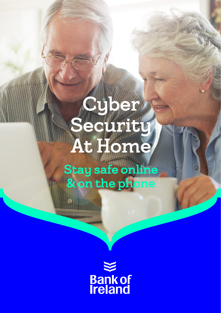# **Cyber** Security At Home

Stay safe online & on the phone

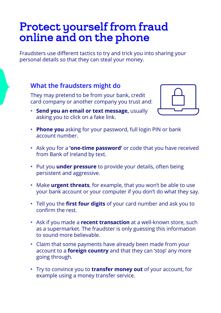## Protect yourself from fraud online and on the phone

Fraudsters use different tactics to try and trick you into sharing your personal details so that they can steal your money.

#### **What the fraudsters might do**

They may pretend to be from your bank, credit card company or another company you trust and:

• **Send you an email or text message,** usually asking you to click on a fake link.



- **Phone you** asking for your password, full login PIN or bank account number.
- Ask you for a **'one-time password'** or code that you have received from Bank of Ireland by text.
- Put you **under pressure** to provide your details, often being persistent and aggressive.
- Make **urgent threats**, for example, that you won't be able to use your bank account or your computer if you don't do what they say.
- Tell you the **first four digits** of your card number and ask you to confirm the rest.
- Ask if you made a **recent transaction** at a well-known store, such as a supermarket. The fraudster is only guessing this information to sound more believable.
- Claim that some payments have already been made from your account to a **foreign country** and that they can 'stop' any more going through.
- Try to convince you to **transfer money out** of your account, for example using a money transfer service.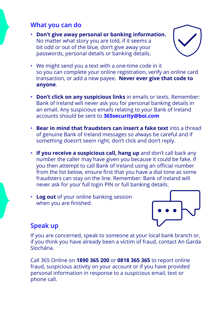### **What you can do**

• **Don't give away personal or banking information.**  No matter what story you are told, if it seems a bit odd or out of the blue, don't give away your passwords, personal details or banking details.



- We might send you a text with a one-time code in it so you can complete your online registration, verify an online card transaction, or add a new payee. **Never ever give that code to anyone**.
- **Don't click on any suspicious links** in emails or texts. Remember: Bank of Ireland will never ask you for personal banking details in an email. Any suspicious emails relating to your Bank of Ireland accounts should be sent to **365security@boi.com**
- **Bear in mind that fraudsters can insert a fake text** into a thread of genuine Bank of Ireland messages so always be careful and if something doesn't seem right, don't click and don't reply.
- **If you receive a suspicious call, hang up** and don't call back any number the caller may have given you because it could be fake. If you then attempt to call Bank of Ireland using an official number from the list below, ensure first that you have a dial tone as some fraudsters can stay on the line. Remember: Bank of Ireland will never ask for your full login PIN or full banking details.
- **Log out** of your online banking session when you are finished.



### **Speak up**

If you are concerned, speak to someone at your local bank branch or, if you think you have already been a victim of fraud, contact An Garda Síochána.

Call 365 Online on **1890 365 200** or **0818 365 365** to report online fraud, suspicious activity on your account or if you have provided personal information in response to a suspicious email, text or phone call.